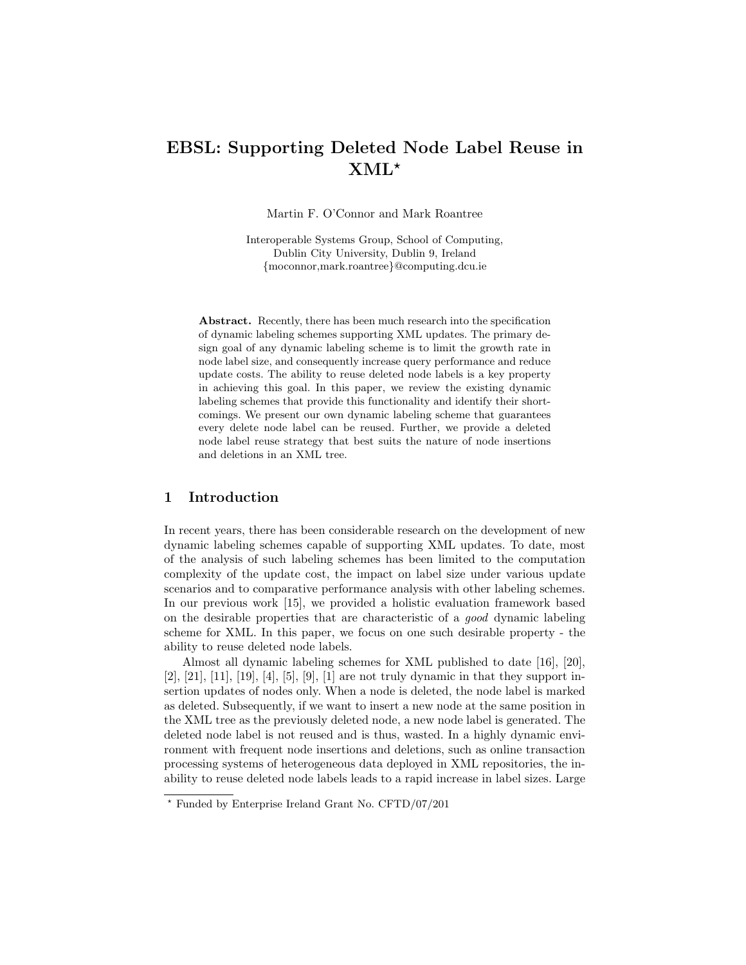# EBSL: Supporting Deleted Node Label Reuse in  $\text{XML}^{\star}$

Martin F. O'Connor and Mark Roantree

Interoperable Systems Group, School of Computing, Dublin City University, Dublin 9, Ireland {moconnor,mark.roantree}@computing.dcu.ie

Abstract. Recently, there has been much research into the specification of dynamic labeling schemes supporting XML updates. The primary design goal of any dynamic labeling scheme is to limit the growth rate in node label size, and consequently increase query performance and reduce update costs. The ability to reuse deleted node labels is a key property in achieving this goal. In this paper, we review the existing dynamic labeling schemes that provide this functionality and identify their shortcomings. We present our own dynamic labeling scheme that guarantees every delete node label can be reused. Further, we provide a deleted node label reuse strategy that best suits the nature of node insertions and deletions in an XML tree.

## 1 Introduction

In recent years, there has been considerable research on the development of new dynamic labeling schemes capable of supporting XML updates. To date, most of the analysis of such labeling schemes has been limited to the computation complexity of the update cost, the impact on label size under various update scenarios and to comparative performance analysis with other labeling schemes. In our previous work [15], we provided a holistic evaluation framework based on the desirable properties that are characteristic of a good dynamic labeling scheme for XML. In this paper, we focus on one such desirable property - the ability to reuse deleted node labels.

Almost all dynamic labeling schemes for XML published to date [16], [20], [2], [21], [11], [19], [4], [5], [9], [1] are not truly dynamic in that they support insertion updates of nodes only. When a node is deleted, the node label is marked as deleted. Subsequently, if we want to insert a new node at the same position in the XML tree as the previously deleted node, a new node label is generated. The deleted node label is not reused and is thus, wasted. In a highly dynamic environment with frequent node insertions and deletions, such as online transaction processing systems of heterogeneous data deployed in XML repositories, the inability to reuse deleted node labels leads to a rapid increase in label sizes. Large

<sup>?</sup> Funded by Enterprise Ireland Grant No. CFTD/07/201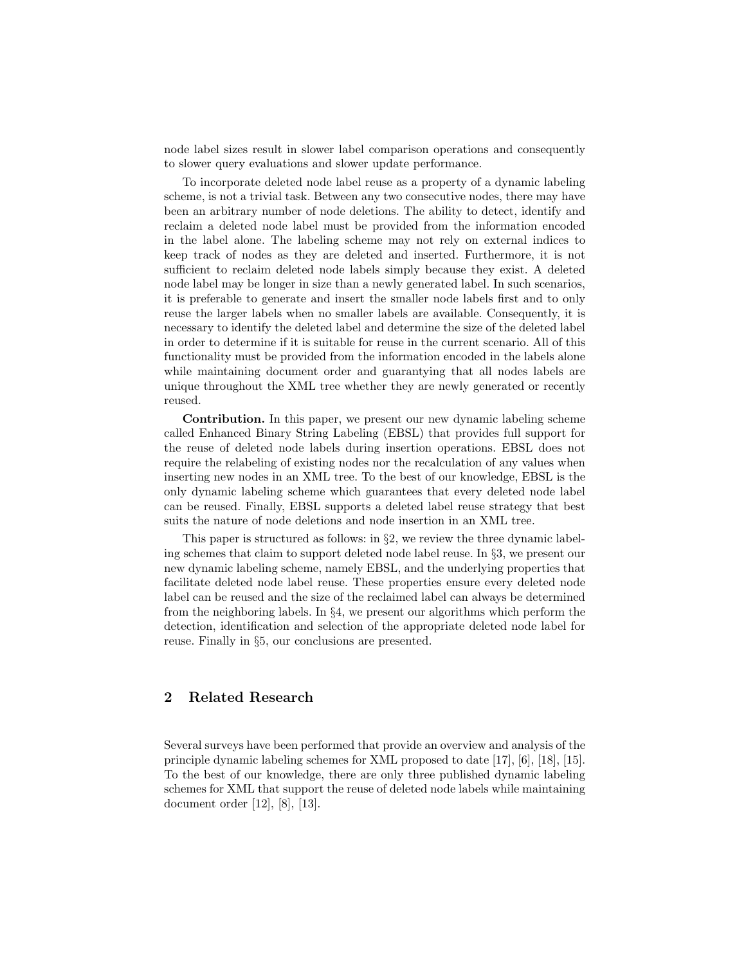node label sizes result in slower label comparison operations and consequently to slower query evaluations and slower update performance.

To incorporate deleted node label reuse as a property of a dynamic labeling scheme, is not a trivial task. Between any two consecutive nodes, there may have been an arbitrary number of node deletions. The ability to detect, identify and reclaim a deleted node label must be provided from the information encoded in the label alone. The labeling scheme may not rely on external indices to keep track of nodes as they are deleted and inserted. Furthermore, it is not sufficient to reclaim deleted node labels simply because they exist. A deleted node label may be longer in size than a newly generated label. In such scenarios, it is preferable to generate and insert the smaller node labels first and to only reuse the larger labels when no smaller labels are available. Consequently, it is necessary to identify the deleted label and determine the size of the deleted label in order to determine if it is suitable for reuse in the current scenario. All of this functionality must be provided from the information encoded in the labels alone while maintaining document order and guarantying that all nodes labels are unique throughout the XML tree whether they are newly generated or recently reused.

Contribution. In this paper, we present our new dynamic labeling scheme called Enhanced Binary String Labeling (EBSL) that provides full support for the reuse of deleted node labels during insertion operations. EBSL does not require the relabeling of existing nodes nor the recalculation of any values when inserting new nodes in an XML tree. To the best of our knowledge, EBSL is the only dynamic labeling scheme which guarantees that every deleted node label can be reused. Finally, EBSL supports a deleted label reuse strategy that best suits the nature of node deletions and node insertion in an XML tree.

This paper is structured as follows: in  $\S$ , we review the three dynamic labeling schemes that claim to support deleted node label reuse. In §3, we present our new dynamic labeling scheme, namely EBSL, and the underlying properties that facilitate deleted node label reuse. These properties ensure every deleted node label can be reused and the size of the reclaimed label can always be determined from the neighboring labels. In §4, we present our algorithms which perform the detection, identification and selection of the appropriate deleted node label for reuse. Finally in §5, our conclusions are presented.

## 2 Related Research

Several surveys have been performed that provide an overview and analysis of the principle dynamic labeling schemes for XML proposed to date [17], [6], [18], [15]. To the best of our knowledge, there are only three published dynamic labeling schemes for XML that support the reuse of deleted node labels while maintaining document order [12], [8], [13].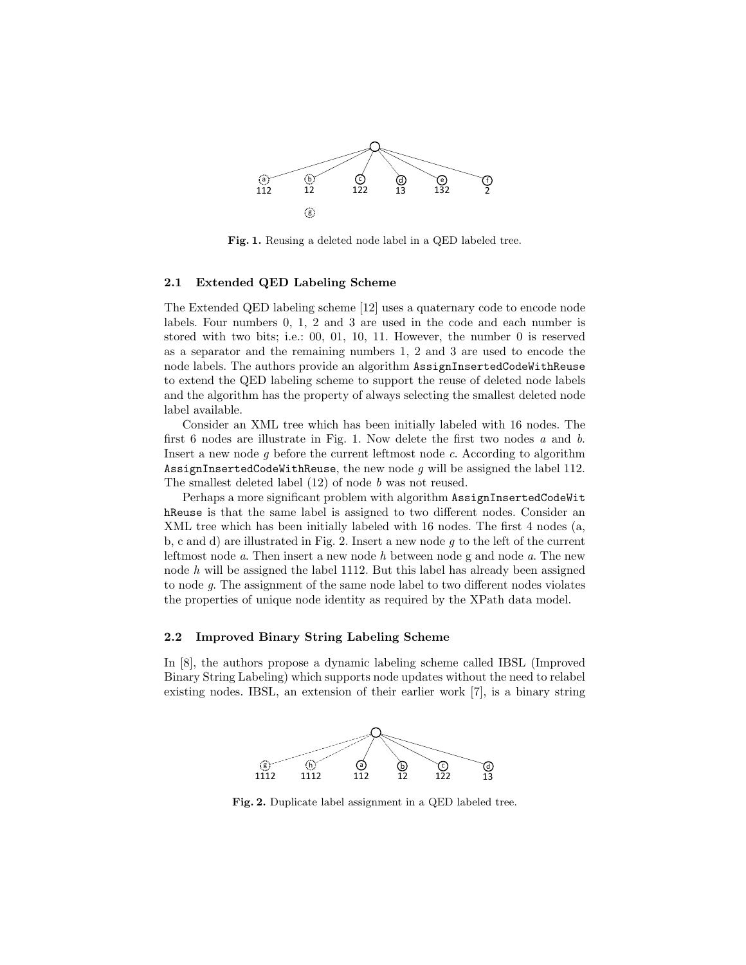

Fig. 1. Reusing a deleted node label in a QED labeled tree.

## 2.1 Extended QED Labeling Scheme

The Extended QED labeling scheme [12] uses a quaternary code to encode node labels. Four numbers 0, 1, 2 and 3 are used in the code and each number is stored with two bits; i.e.: 00, 01, 10, 11. However, the number 0 is reserved as a separator and the remaining numbers 1, 2 and 3 are used to encode the node labels. The authors provide an algorithm AssignInsertedCodeWithReuse to extend the QED labeling scheme to support the reuse of deleted node labels and the algorithm has the property of always selecting the smallest deleted node label available.

Consider an XML tree which has been initially labeled with 16 nodes. The first 6 nodes are illustrate in Fig. 1. Now delete the first two nodes  $a$  and  $b$ . Insert a new node  $q$  before the current leftmost node  $c$ . According to algorithm AssignInsertedCodeWithReuse, the new node  $g$  will be assigned the label 112. The smallest deleted label (12) of node b was not reused.

Perhaps a more significant problem with algorithm AssignInsertedCodeWit hReuse is that the same label is assigned to two different nodes. Consider an XML tree which has been initially labeled with 16 nodes. The first 4 nodes (a, b, c and d) are illustrated in Fig. 2. Insert a new node  $g$  to the left of the current leftmost node  $a$ . Then insert a new node  $h$  between node g and node  $a$ . The new node  $h$  will be assigned the label 1112. But this label has already been assigned to node g. The assignment of the same node label to two different nodes violates the properties of unique node identity as required by the XPath data model.

#### 2.2 Improved Binary String Labeling Scheme

In [8], the authors propose a dynamic labeling scheme called IBSL (Improved Binary String Labeling) which supports node updates without the need to relabel Binary String Labeling) which supports node updates without the need to relabel<br>existing nodes. IBSL, an extension of their earlier work [7], is a binary string



Fig. 2. Duplicate label assignment in a QED labeled tree.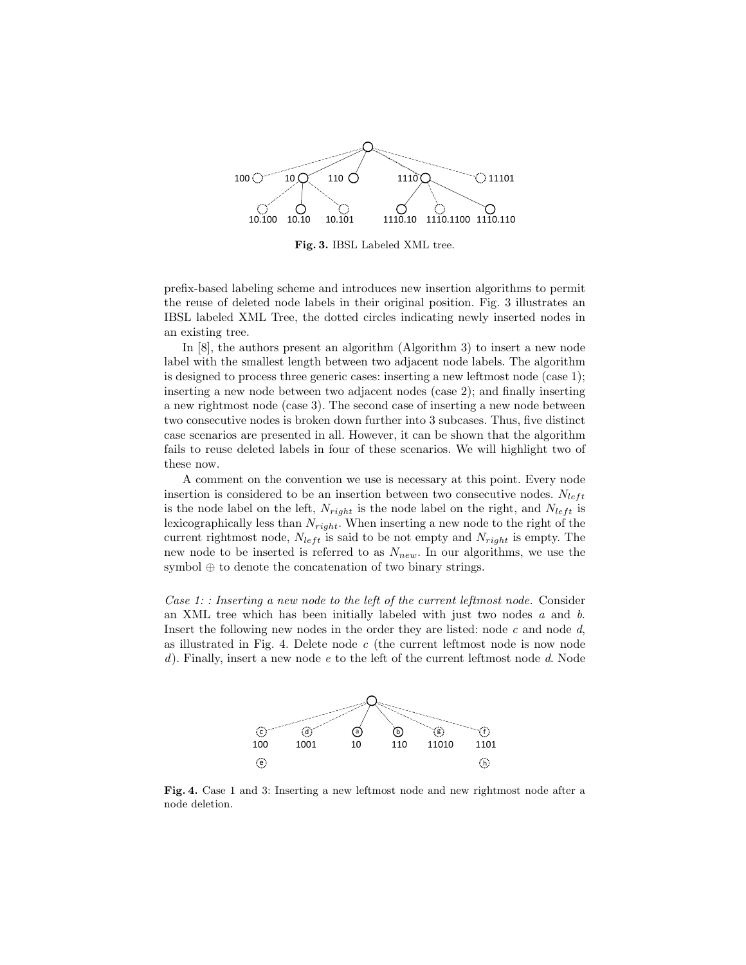

Fig. 3. IBSL Labeled XML tree.

prefix-based labeling scheme and introduces new insertion algorithms to permit the reuse of deleted node labels in their original position. Fig. 3 illustrates an IBSL labeled XML Tree, the dotted circles indicating newly inserted nodes in an existing tree.

In  $[8]$ , the authors present an algorithm (Algorithm 3) to insert a new node label with the smallest length between two adjacent node labels. The algorithm is designed to process three generic cases: inserting a new leftmost node (case 1); inserting a new node between two adjacent nodes (case 2); and finally inserting a new rightmost node (case 3). The second case of inserting a new node between two consecutive nodes is broken down further into 3 subcases. Thus, five distinct case scenarios are presented in all. However, it can be shown that the algorithm fails to reuse deleted labels in four of these scenarios. We will highlight two of these now.

A comment on the convention we use is necessary at this point. Every node insertion is considered to be an insertion between two consecutive nodes.  $N_{left}$ is the node label on the left,  $N_{right}$  is the node label on the right, and  $N_{left}$  is lexicographically less than  $N_{right}$ . When inserting a new node to the right of the current rightmost node,  $N_{left}$  is said to be not empty and  $N_{right}$  is empty. The new node to be inserted is referred to as  $N_{new}$ . In our algorithms, we use the symbol ⊕ to denote the concatenation of two binary strings.

Case 1: : Inserting a new node to the left of the current leftmost node. Consider an XML tree which has been initially labeled with just two nodes a and b. Insert the following new nodes in the order they are listed: node  $c$  and node  $d$ , as illustrated in Fig. 4. Delete node  $c$  (the current leftmost node is now node as inustrated in Fig. 4. Defect node c (the current leftmost node is now node d). Finally, insert a new node c to the left of the current leftmost node d. Node



Fig. 4. Case 1 and 3: Inserting a new leftmost node and new rightmost node after a node deletion.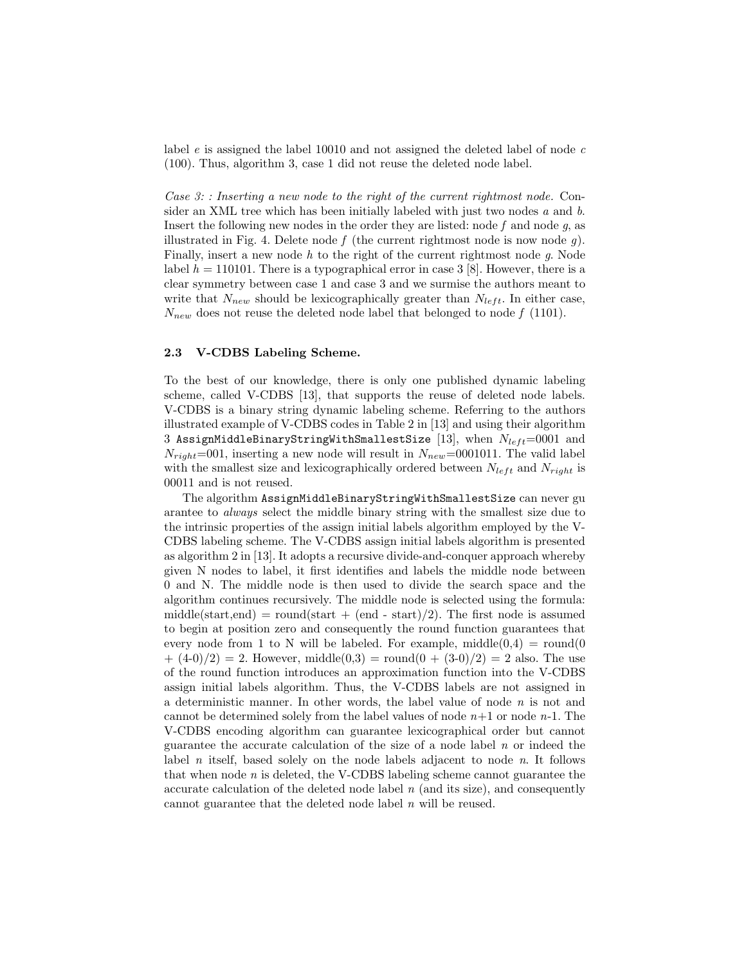label e is assigned the label 10010 and not assigned the deleted label of node c (100). Thus, algorithm 3, case 1 did not reuse the deleted node label.

Case 3: : Inserting a new node to the right of the current rightmost node. Consider an XML tree which has been initially labeled with just two nodes a and b. Insert the following new nodes in the order they are listed: node f and node  $q$ , as illustrated in Fig. 4. Delete node  $f$  (the current rightmost node is now node  $g$ ). Finally, insert a new node  $h$  to the right of the current rightmost node  $g$ . Node label  $h = 110101$ . There is a typographical error in case 3 [8]. However, there is a clear symmetry between case 1 and case 3 and we surmise the authors meant to write that  $N_{new}$  should be lexicographically greater than  $N_{left}$ . In either case,  $N_{new}$  does not reuse the deleted node label that belonged to node f (1101).

#### 2.3 V-CDBS Labeling Scheme.

To the best of our knowledge, there is only one published dynamic labeling scheme, called V-CDBS [13], that supports the reuse of deleted node labels. V-CDBS is a binary string dynamic labeling scheme. Referring to the authors illustrated example of V-CDBS codes in Table 2 in [13] and using their algorithm 3 AssignMiddleBinaryStringWithSmallestSize [13], when  $N_{left}$ =0001 and  $N_{right}=001$ , inserting a new node will result in  $N_{new}=0001011$ . The valid label with the smallest size and lexicographically ordered between  $N_{left}$  and  $N_{right}$  is 00011 and is not reused.

The algorithm AssignMiddleBinaryStringWithSmallestSize can never gu arantee to always select the middle binary string with the smallest size due to the intrinsic properties of the assign initial labels algorithm employed by the V-CDBS labeling scheme. The V-CDBS assign initial labels algorithm is presented as algorithm 2 in [13]. It adopts a recursive divide-and-conquer approach whereby given N nodes to label, it first identifies and labels the middle node between 0 and N. The middle node is then used to divide the search space and the algorithm continues recursively. The middle node is selected using the formula:  $\text{middle}(\text{start}, \text{end}) = \text{round}(\text{start} + (\text{end} - \text{start})/2)$ . The first node is assumed to begin at position zero and consequently the round function guarantees that every node from 1 to N will be labeled. For example, middle $(0,4)$  = round $(0, 1)$  $+(4-0)/2) = 2$ . However, middle $(0,3) = \text{round}(0 + (3-0)/2) = 2$  also. The use of the round function introduces an approximation function into the V-CDBS assign initial labels algorithm. Thus, the V-CDBS labels are not assigned in a deterministic manner. In other words, the label value of node  $n$  is not and cannot be determined solely from the label values of node  $n+1$  or node  $n-1$ . The V-CDBS encoding algorithm can guarantee lexicographical order but cannot guarantee the accurate calculation of the size of a node label  $n$  or indeed the label  $n$  itself, based solely on the node labels adjacent to node  $n$ . It follows that when node  $n$  is deleted, the V-CDBS labeling scheme cannot guarantee the accurate calculation of the deleted node label  $n$  (and its size), and consequently cannot guarantee that the deleted node label n will be reused.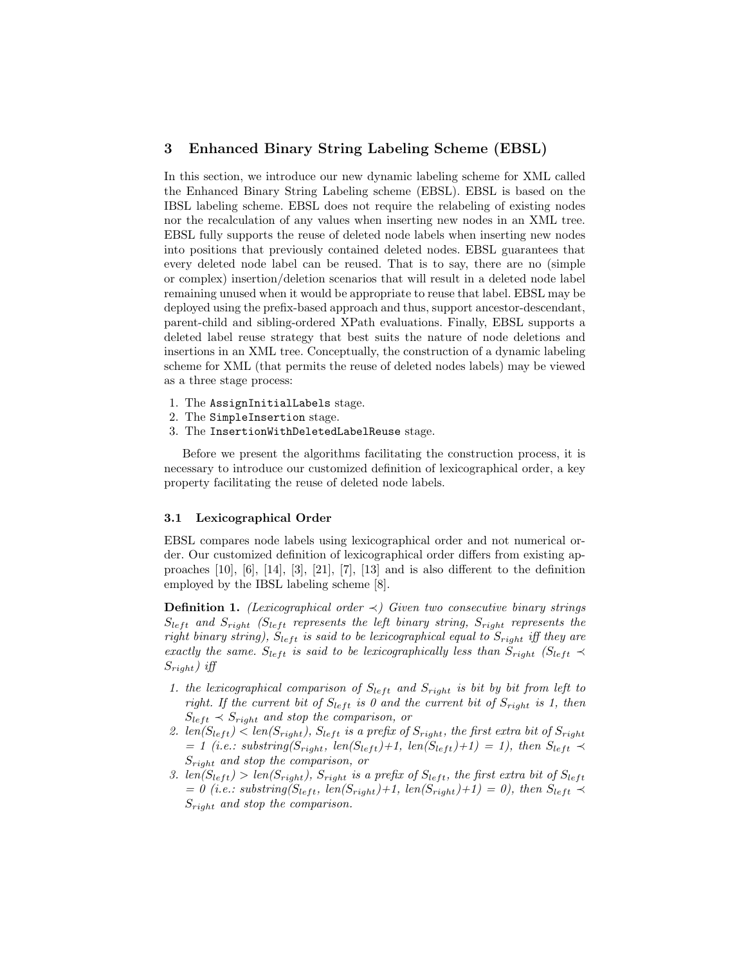## 3 Enhanced Binary String Labeling Scheme (EBSL)

In this section, we introduce our new dynamic labeling scheme for XML called the Enhanced Binary String Labeling scheme (EBSL). EBSL is based on the IBSL labeling scheme. EBSL does not require the relabeling of existing nodes nor the recalculation of any values when inserting new nodes in an XML tree. EBSL fully supports the reuse of deleted node labels when inserting new nodes into positions that previously contained deleted nodes. EBSL guarantees that every deleted node label can be reused. That is to say, there are no (simple or complex) insertion/deletion scenarios that will result in a deleted node label remaining unused when it would be appropriate to reuse that label. EBSL may be deployed using the prefix-based approach and thus, support ancestor-descendant, parent-child and sibling-ordered XPath evaluations. Finally, EBSL supports a deleted label reuse strategy that best suits the nature of node deletions and insertions in an XML tree. Conceptually, the construction of a dynamic labeling scheme for XML (that permits the reuse of deleted nodes labels) may be viewed as a three stage process:

- 1. The AssignInitialLabels stage.
- 2. The SimpleInsertion stage.
- 3. The InsertionWithDeletedLabelReuse stage.

Before we present the algorithms facilitating the construction process, it is necessary to introduce our customized definition of lexicographical order, a key property facilitating the reuse of deleted node labels.

#### 3.1 Lexicographical Order

EBSL compares node labels using lexicographical order and not numerical order. Our customized definition of lexicographical order differs from existing approaches  $[10]$ ,  $[6]$ ,  $[14]$ ,  $[3]$ ,  $[21]$ ,  $[7]$ ,  $[13]$  and is also different to the definition employed by the IBSL labeling scheme [8].

**Definition 1.** (Lexicographical order  $\prec$ ) Given two consecutive binary strings  $S_{left}$  and  $S_{right}$  (S<sub>left</sub> represents the left binary string,  $S_{right}$  represents the right binary string),  $S_{left}$  is said to be lexicographical equal to  $S_{right}$  iff they are exactly the same.  $S_{left}$  is said to be lexicographically less than  $S_{right}$  ( $S_{left} \prec$  $S_{right}$ ) iff

- 1. the lexicographical comparison of  $S_{left}$  and  $S_{right}$  is bit by bit from left to right. If the current bit of  $S_{left}$  is 0 and the current bit of  $S_{right}$  is 1, then  $S_{left} \prec S_{right}$  and stop the comparison, or
- 2.  $len(S_{left})$  <  $len(S_{right})$ ,  $S_{left}$  is a prefix of  $S_{right}$ , the first extra bit of  $S_{right}$  $= 1$  (i.e.: substring( $S_{right}$ , len( $S_{left}$ )+1, len( $S_{left}$ )+1) = 1), then  $S_{left} \prec$  $S_{right}$  and stop the comparison, or
- 3. len( $S_{left}$ ) > len( $S_{right}$ ),  $S_{right}$  is a prefix of  $S_{left}$ , the first extra bit of  $S_{left}$  $= 0$  (i.e.: substring( $S_{left}$ , len( $S_{right}$ )+1, len( $S_{right}$ )+1) = 0), then  $S_{left} \prec$  $S_{right}$  and stop the comparison.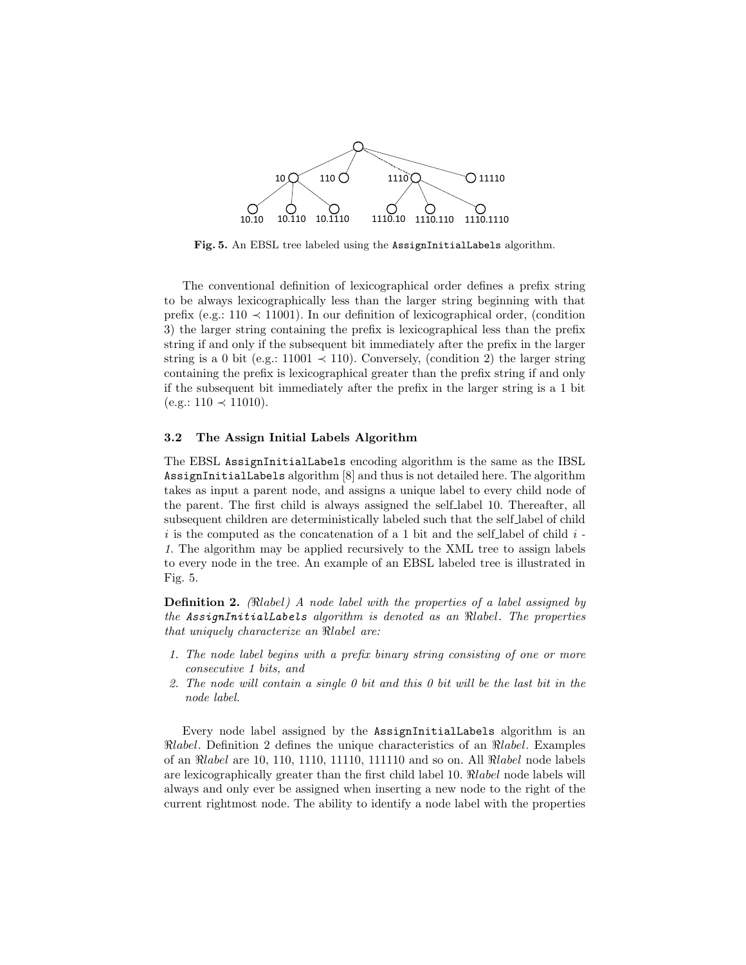

Fig. 5. An EBSL tree labeled using the AssignInitialLabels algorithm.

The conventional definition of lexicographical order defines a prefix string to be always lexicographically less than the larger string beginning with that prefix (e.g.:  $110 \le 11001$ ). In our definition of lexicographical order, (condition 3) the larger string containing the prefix is lexicographical less than the prefix string if and only if the subsequent bit immediately after the prefix in the larger string is a 0 bit (e.g.: 11001  $\prec$  110). Conversely, (condition 2) the larger string containing the prefix is lexicographical greater than the prefix string if and only if the subsequent bit immediately after the prefix in the larger string is a 1 bit  $(e.g.: 110 \prec 11010).$ 

#### 3.2 The Assign Initial Labels Algorithm

The EBSL AssignInitialLabels encoding algorithm is the same as the IBSL AssignInitialLabels algorithm [8] and thus is not detailed here. The algorithm takes as input a parent node, and assigns a unique label to every child node of the parent. The first child is always assigned the self label 10. Thereafter, all subsequent children are deterministically labeled such that the self label of child i is the computed as the concatenation of a 1 bit and the self-label of child  $i$ . 1. The algorithm may be applied recursively to the XML tree to assign labels to every node in the tree. An example of an EBSL labeled tree is illustrated in Fig. 5.

**Definition 2.** (Rlabel) A node label with the properties of a label assigned by the  $\texttt{AssignInitialLabels}$  algorithm is denoted as an  $\Re \texttt{label}$ . The properties that uniquely characterize an  $\Re$ label are:

- 1. The node label begins with a prefix binary string consisting of one or more consecutive 1 bits, and
- 2. The node will contain a single 0 bit and this 0 bit will be the last bit in the node label.

Every node label assigned by the AssignInitialLabels algorithm is an  $\Re label$ . Definition 2 defines the unique characteristics of an  $\Re label$ . Examples of an  $\Re label$  are 10, 110, 1110, 11110, 111110 and so on. All  $\Re label$  node labels are lexicographically greater than the first child label 10.  $\Re label$  node labels will always and only ever be assigned when inserting a new node to the right of the current rightmost node. The ability to identify a node label with the properties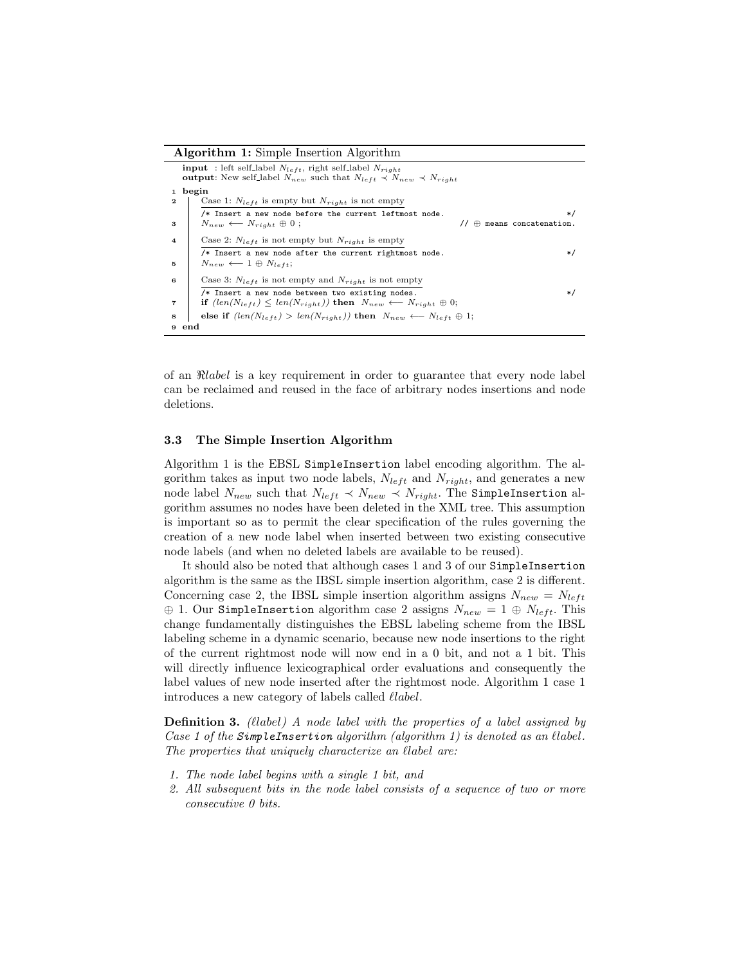Algorithm 1: Simple Insertion Algorithm

|                  | <b>input</b> : left self-label $N_{left}$ , right self-label $N_{right}$<br><b>output</b> : New self-label $N_{new}$ such that $N_{left} \prec N_{new} \prec N_{right}$                                                                                       |  |  |  |
|------------------|---------------------------------------------------------------------------------------------------------------------------------------------------------------------------------------------------------------------------------------------------------------|--|--|--|
| $\mathbf{1}$     | begin                                                                                                                                                                                                                                                         |  |  |  |
|                  | Case 1: $N_{left}$ is empty but $N_{right}$ is not empty                                                                                                                                                                                                      |  |  |  |
|                  | $3\begin{array}{l} \end{array} \left\{ \begin{array}{l} \text{\emph{{\small\textbf{A}}}} \text{ insert a new node before the current leftmost node.}\\ N_{new} \longleftarrow N_{right} \oplus 0 \ ; \end{array} \right.$<br>$*$                              |  |  |  |
|                  | $// \oplus$ means concatenation.                                                                                                                                                                                                                              |  |  |  |
|                  | 4   Case 2: $N_{left}$ is not empty but $N_{right}$ is empty                                                                                                                                                                                                  |  |  |  |
|                  | /* Insert a new node after the current rightmost node.<br>$*′$                                                                                                                                                                                                |  |  |  |
|                  | $\begin{array}{c c} & \text{/* Insert a new node} \\ 5 & & N_{new} \longleftarrow 1 \oplus N_{left}; \end{array}$                                                                                                                                             |  |  |  |
|                  | 6 Case 3: $N_{left}$ is not empty and $N_{right}$ is not empty                                                                                                                                                                                                |  |  |  |
|                  | $*′$                                                                                                                                                                                                                                                          |  |  |  |
|                  | 7<br>1997<br>1997<br>1997<br>1997<br>1997<br>1997<br>1997<br>1997<br>1997<br>1997<br>1997<br>1998<br>1999<br>1998<br>1999<br>1999<br>1999<br>1999<br>1999<br>1999<br>1999<br>1999<br>1999<br>1999<br>1999<br>1999<br>1999<br>1999<br>1999<br>1999<br>1999<br> |  |  |  |
|                  | $\textbf{else if } (len(N_{left}) > len(N_{right})) \textbf{ then } N_{new} \longleftarrow N_{left} \oplus 1;$                                                                                                                                                |  |  |  |
| <sub>9</sub> end |                                                                                                                                                                                                                                                               |  |  |  |

of an Rlabel is a key requirement in order to guarantee that every node label can be reclaimed and reused in the face of arbitrary nodes insertions and node deletions.

#### 3.3 The Simple Insertion Algorithm

Algorithm 1 is the EBSL SimpleInsertion label encoding algorithm. The algorithm takes as input two node labels,  $N_{left}$  and  $N_{right}$ , and generates a new node label  $N_{new}$  such that  $N_{left} \prec N_{new} \prec N_{right}$ . The SimpleInsertion algorithm assumes no nodes have been deleted in the XML tree. This assumption is important so as to permit the clear specification of the rules governing the creation of a new node label when inserted between two existing consecutive node labels (and when no deleted labels are available to be reused).

It should also be noted that although cases 1 and 3 of our SimpleInsertion algorithm is the same as the IBSL simple insertion algorithm, case 2 is different. Concerning case 2, the IBSL simple insertion algorithm assigns  $N_{new} = N_{left}$  $\oplus$  1. Our SimpleInsertion algorithm case 2 assigns  $N_{new} = 1 \oplus N_{left}$ . This change fundamentally distinguishes the EBSL labeling scheme from the IBSL labeling scheme in a dynamic scenario, because new node insertions to the right of the current rightmost node will now end in a 0 bit, and not a 1 bit. This will directly influence lexicographical order evaluations and consequently the label values of new node inserted after the rightmost node. Algorithm 1 case 1 introduces a new category of labels called *llabel*.

**Definition 3.** ( $\ell$ label) A node label with the properties of a label assigned by Case 1 of the SimpleInsertion algorithm (algorithm 1) is denoted as an  $llabel$ . The properties that uniquely characterize an  $\ell$ label are:

- 1. The node label begins with a single 1 bit, and
- 2. All subsequent bits in the node label consists of a sequence of two or more consecutive 0 bits.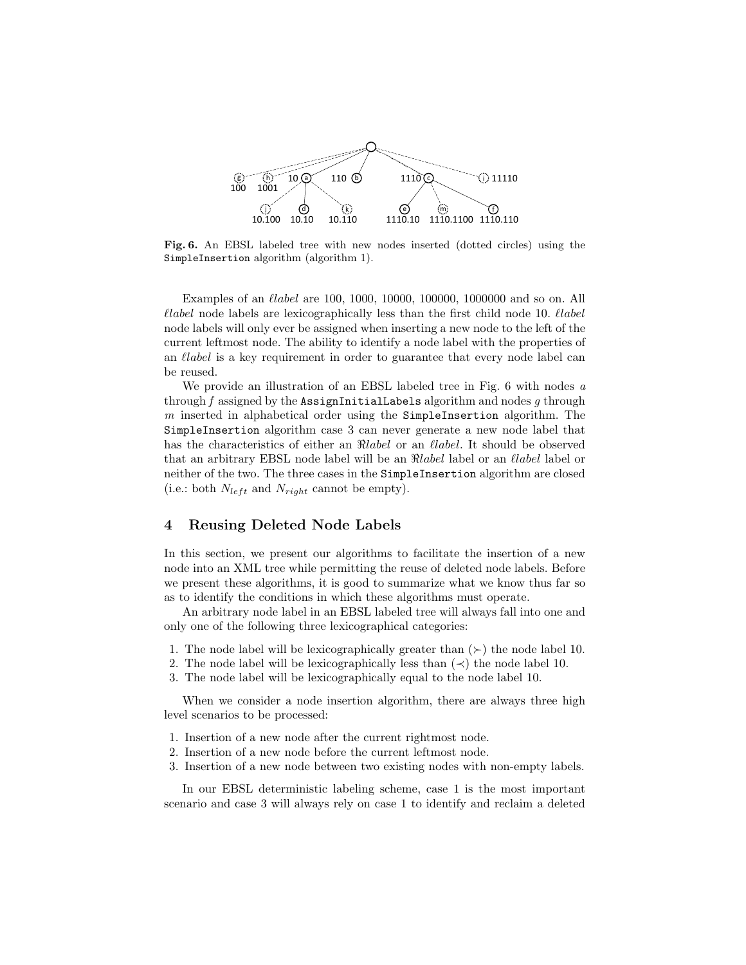

Fig. 6. An EBSL labeled tree with new nodes inserted (dotted circles) using the SimpleInsertion algorithm (algorithm 1).

Examples of an  $\ell$ label are 100, 1000, 10000, 100000, 1000000 and so on. All  $\ell label$  node labels are lexicographically less than the first child node 10.  $\ell label$ node labels will only ever be assigned when inserting a new node to the left of the current leftmost node. The ability to identify a node label with the properties of an  $\ell label$  is a key requirement in order to guarantee that every node label can be reused.

We provide an illustration of an EBSL labeled tree in Fig. 6 with nodes a through  $f$  assigned by the AssignInitialLabels algorithm and nodes  $g$  through  $m$  inserted in alphabetical order using the SimpleInsertion algorithm. The SimpleInsertion algorithm case 3 can never generate a new node label that has the characteristics of either an  $\Re label$  or an *label*. It should be observed that an arbitrary EBSL node label will be an  $\Re label$  label or an *label* label or neither of the two. The three cases in the SimpleInsertion algorithm are closed (i.e.: both  $N_{left}$  and  $N_{right}$  cannot be empty).

## 4 Reusing Deleted Node Labels

In this section, we present our algorithms to facilitate the insertion of a new node into an XML tree while permitting the reuse of deleted node labels. Before we present these algorithms, it is good to summarize what we know thus far so as to identify the conditions in which these algorithms must operate.

An arbitrary node label in an EBSL labeled tree will always fall into one and only one of the following three lexicographical categories:

- 1. The node label will be lexicographically greater than  $(\succ)$  the node label 10.
- 2. The node label will be lexicographically less than  $(\prec)$  the node label 10.
- 3. The node label will be lexicographically equal to the node label 10.

When we consider a node insertion algorithm, there are always three high level scenarios to be processed:

- 1. Insertion of a new node after the current rightmost node.
- 2. Insertion of a new node before the current leftmost node.
- 3. Insertion of a new node between two existing nodes with non-empty labels.

In our EBSL deterministic labeling scheme, case 1 is the most important scenario and case 3 will always rely on case 1 to identify and reclaim a deleted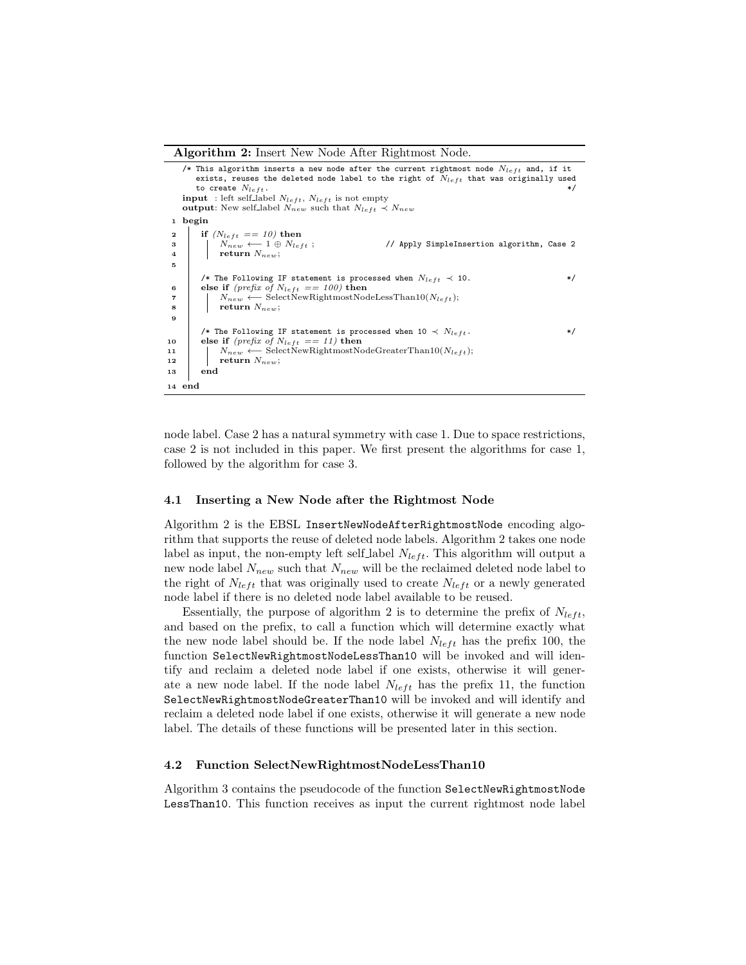Algorithm 2: Insert New Node After Rightmost Node.

|                | /* This algorithm inserts a new node after the current rightmost node $N_{left}$ and, if it<br>exists, reuses the deleted node label to the right of $N_{left}$ that was originally used<br>to create $N_{left}$ .<br>$\ast/$<br><b>input</b> : left self_label $N_{left}$ , $N_{left}$ is not empty<br><b>output</b> : New self-label $N_{new}$ such that $N_{left} \prec N_{new}$ |
|----------------|-------------------------------------------------------------------------------------------------------------------------------------------------------------------------------------------------------------------------------------------------------------------------------------------------------------------------------------------------------------------------------------|
|                | 1 begin                                                                                                                                                                                                                                                                                                                                                                             |
|                | if $(N_{left} == 10)$ then                                                                                                                                                                                                                                                                                                                                                          |
| $\frac{3}{4}$  | $\begin{array}{c}\n\cdot & N_{new} \longleftarrow 1 \oplus N_{left} ;\n\end{array}$<br><b>return</b> $N_{new}$ ;<br>// Apply SimpleInsertion algorithm, Case 2                                                                                                                                                                                                                      |
|                |                                                                                                                                                                                                                                                                                                                                                                                     |
| 5              |                                                                                                                                                                                                                                                                                                                                                                                     |
|                | /* The Following IF statement is processed when $N_{left} \prec 10$ .<br>$\ast/$                                                                                                                                                                                                                                                                                                    |
| 6              | else if (prefix of $N_{left} = 100$ ) then                                                                                                                                                                                                                                                                                                                                          |
| $\overline{7}$ | $N_{new} \leftarrow$ SelectNewRightmostNodeLessThan10( $N_{left}$ );                                                                                                                                                                                                                                                                                                                |
| 8              | return $N_{new}$ ;                                                                                                                                                                                                                                                                                                                                                                  |
| - 9            |                                                                                                                                                                                                                                                                                                                                                                                     |
|                | /* The Following IF statement is processed when 10 $\prec N_{left}$ .<br>$* /$                                                                                                                                                                                                                                                                                                      |
| 10             | else if (prefix of $N_{left} = 11$ ) then                                                                                                                                                                                                                                                                                                                                           |
| 11             | $N_{new} \leftarrow$ SelectNewRightmostNodeGreaterThan10( $N_{left}$ );                                                                                                                                                                                                                                                                                                             |
| 12             | return $N_{new}$ ;                                                                                                                                                                                                                                                                                                                                                                  |
| 13             | end                                                                                                                                                                                                                                                                                                                                                                                 |
|                | 14 end                                                                                                                                                                                                                                                                                                                                                                              |

node label. Case 2 has a natural symmetry with case 1. Due to space restrictions, case 2 is not included in this paper. We first present the algorithms for case 1, followed by the algorithm for case 3.

#### 4.1 Inserting a New Node after the Rightmost Node

Algorithm 2 is the EBSL InsertNewNodeAfterRightmostNode encoding algorithm that supports the reuse of deleted node labels. Algorithm 2 takes one node label as input, the non-empty left self-label  $N_{left}$ . This algorithm will output a new node label  $N_{new}$  such that  $N_{new}$  will be the reclaimed deleted node label to the right of  $N_{left}$  that was originally used to create  $N_{left}$  or a newly generated node label if there is no deleted node label available to be reused.

Essentially, the purpose of algorithm 2 is to determine the prefix of  $N_{left}$ , and based on the prefix, to call a function which will determine exactly what the new node label should be. If the node label  $N_{left}$  has the prefix 100, the function SelectNewRightmostNodeLessThan10 will be invoked and will identify and reclaim a deleted node label if one exists, otherwise it will generate a new node label. If the node label  $N_{left}$  has the prefix 11, the function SelectNewRightmostNodeGreaterThan10 will be invoked and will identify and reclaim a deleted node label if one exists, otherwise it will generate a new node label. The details of these functions will be presented later in this section.

#### 4.2 Function SelectNewRightmostNodeLessThan10

Algorithm 3 contains the pseudocode of the function SelectNewRightmostNode LessThan10. This function receives as input the current rightmost node label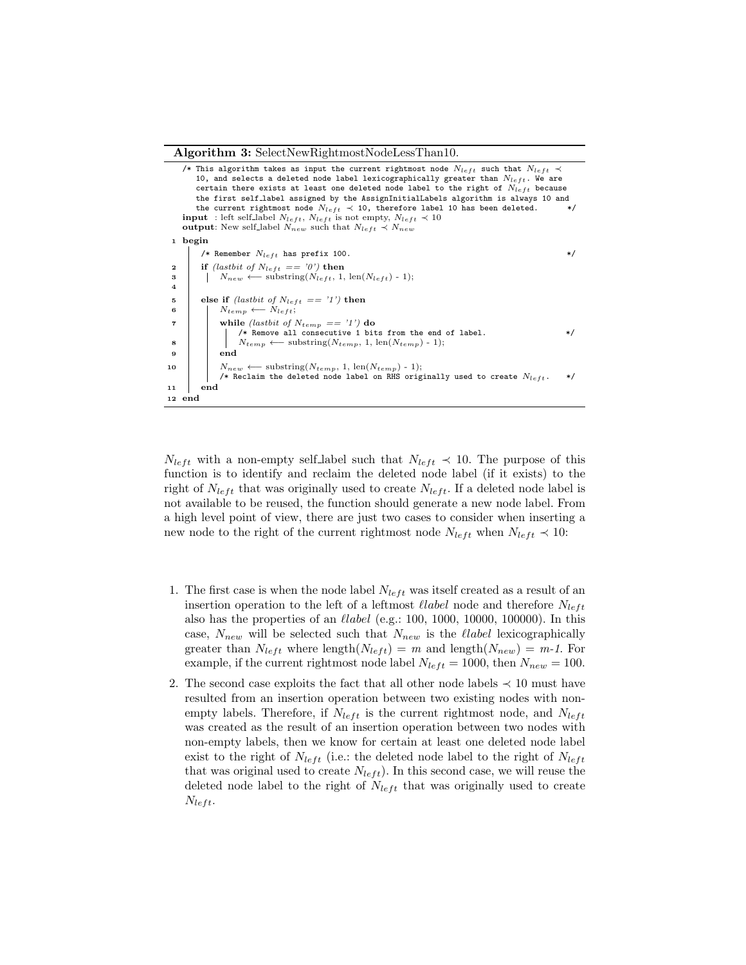#### Algorithm 3: SelectNewRightmostNodeLessThan10.

|                                     | /* This algorithm takes as input the current rightmost node $N_{left}$ such that $N_{left}$ $\prec$<br>10, and selects a deleted node label lexicographically greater than $N_{left}$ . We are<br>certain there exists at least one deleted node label to the right of $N_{left}$ because<br>the first self_label assigned by the AssignInitialLabels algorithm is always 10 and<br>the current rightmost node $N_{left} \prec 10$ , therefore label 10 has been deleted.<br><b>input</b> : left self-label $N_{left}$ , $N_{left}$ is not empty, $N_{left} \prec 10$<br><b>output</b> : New self-label $N_{new}$ such that $N_{left} \prec N_{new}$ | $*$   |
|-------------------------------------|------------------------------------------------------------------------------------------------------------------------------------------------------------------------------------------------------------------------------------------------------------------------------------------------------------------------------------------------------------------------------------------------------------------------------------------------------------------------------------------------------------------------------------------------------------------------------------------------------------------------------------------------------|-------|
|                                     | 1 begin                                                                                                                                                                                                                                                                                                                                                                                                                                                                                                                                                                                                                                              |       |
|                                     | /* Remember $N_{left}$ has prefix 100.                                                                                                                                                                                                                                                                                                                                                                                                                                                                                                                                                                                                               | $* /$ |
| $\mathbf{2}$<br>3<br>$\overline{4}$ | if (lastbit of $N_{left}$ == '0') then<br>$N_{new} \leftarrow$ substring( $N_{left}$ , 1, len( $N_{left}$ ) - 1);                                                                                                                                                                                                                                                                                                                                                                                                                                                                                                                                    |       |
| 5                                   | else if <i>(lastbit of N<sub>left</sub></i> == '1') then                                                                                                                                                                                                                                                                                                                                                                                                                                                                                                                                                                                             |       |
| 6                                   | $N_{temp} \leftarrow N_{left};$                                                                                                                                                                                                                                                                                                                                                                                                                                                                                                                                                                                                                      |       |
| $\overline{\phantom{a}}$            | while <i>(lastbit of N<sub>temp</sub></i> == '1') do<br>$/*$ Remove all consecutive 1 bits from the end of label.                                                                                                                                                                                                                                                                                                                                                                                                                                                                                                                                    | $*$   |
| 8                                   | /* Remove all concounts<br>$N_{temp} \leftarrow$ substring( $N_{temp}$ , 1, len( $N_{temp}$ ) - 1);                                                                                                                                                                                                                                                                                                                                                                                                                                                                                                                                                  |       |
| 9                                   | end                                                                                                                                                                                                                                                                                                                                                                                                                                                                                                                                                                                                                                                  |       |
| 10                                  | $N_{new} \leftarrow$ substring $(N_{temp}, 1, len(N_{temp}) - 1);$<br>/* Reclaim the deleted node label on RHS originally used to create $N_{left}$ .                                                                                                                                                                                                                                                                                                                                                                                                                                                                                                | $* /$ |
| 11                                  | end                                                                                                                                                                                                                                                                                                                                                                                                                                                                                                                                                                                                                                                  |       |
| 12 end                              |                                                                                                                                                                                                                                                                                                                                                                                                                                                                                                                                                                                                                                                      |       |

 $N_{left}$  with a non-empty self label such that  $N_{left} \prec 10$ . The purpose of this function is to identify and reclaim the deleted node label (if it exists) to the right of  $N_{left}$  that was originally used to create  $N_{left}$ . If a deleted node label is not available to be reused, the function should generate a new node label. From a high level point of view, there are just two cases to consider when inserting a new node to the right of the current rightmost node  $N_{left}$  when  $N_{left} \prec 10$ :

- 1. The first case is when the node label  $N_{left}$  was itself created as a result of an insertion operation to the left of a leftmost  $\ell label$  node and therefore  $N_{left}$ also has the properties of an  $\ell label$  (e.g.: 100, 1000, 10000, 100000). In this case,  $N_{new}$  will be selected such that  $N_{new}$  is the *label* lexicographically greater than  $N_{left}$  where length $(N_{left}) = m$  and length $(N_{new}) = m-1$ . For example, if the current rightmost node label  $N_{left} = 1000$ , then  $N_{new} = 100$ .
- 2. The second case exploits the fact that all other node labels  $\prec 10$  must have resulted from an insertion operation between two existing nodes with nonempty labels. Therefore, if  $N_{left}$  is the current rightmost node, and  $N_{left}$ was created as the result of an insertion operation between two nodes with non-empty labels, then we know for certain at least one deleted node label exist to the right of  $N_{left}$  (i.e.: the deleted node label to the right of  $N_{left}$ that was original used to create  $N_{left}$ ). In this second case, we will reuse the deleted node label to the right of  $N_{left}$  that was originally used to create  $N_{left}$ .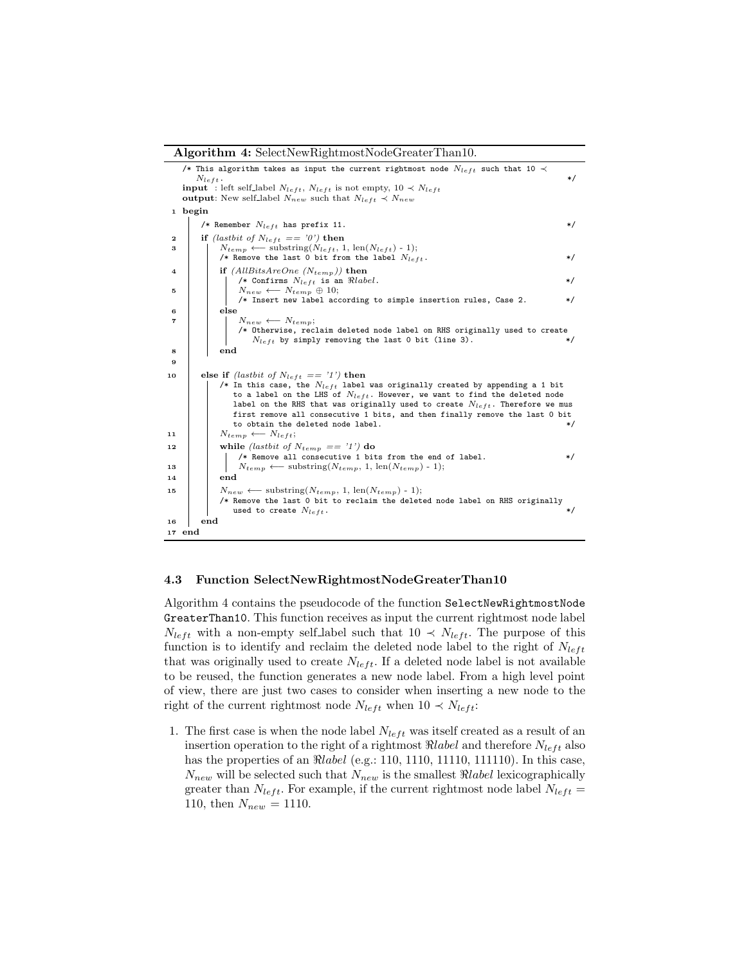Algorithm 4: SelectNewRightmostNodeGreaterThan10.

|          | /* This algorithm takes as input the current rightmost node $N_{left}$ such that 10 $\prec$<br>$N_{left}$ .<br><b>input</b> : left self-label $N_{left}$ , $N_{left}$ is not empty, $10 \prec N_{left}$<br><b>output</b> : New self-label $N_{new}$ such that $N_{left} \prec N_{new}$                                                                                                                                              | $*$ |
|----------|-------------------------------------------------------------------------------------------------------------------------------------------------------------------------------------------------------------------------------------------------------------------------------------------------------------------------------------------------------------------------------------------------------------------------------------|-----|
|          | 1 begin                                                                                                                                                                                                                                                                                                                                                                                                                             |     |
|          | /* Remember $N_{left}$ has prefix 11.                                                                                                                                                                                                                                                                                                                                                                                               | */  |
| 2<br>з   | if <i>(lastbit of N<sub>left</sub></i> == '0') then<br>$N_{temp} \leftarrow$ substring( $N_{left}$ , 1, len( $N_{left}$ ) - 1);<br>/* Remove the last 0 bit from the label $N_{left}$ .                                                                                                                                                                                                                                             | */  |
| 4<br>5   | if $(AllBitsAreOne (N_{temp}))$ then<br>/* Confirms $N_{left}$ is an $\Re label$ .<br>$N_{new} \longleftarrow N_{temp} \oplus 10;$                                                                                                                                                                                                                                                                                                  | */  |
|          | /* Insert new label according to simple insertion rules, Case 2.<br>else                                                                                                                                                                                                                                                                                                                                                            | $*$ |
| 6<br>7   | $N_{new} \longleftarrow N_{temp};$<br>/* Otherwise, reclaim deleted node label on RHS originally used to create<br>$N_{left}$ by simply removing the last 0 bit (line 3).                                                                                                                                                                                                                                                           | */  |
| 8        | end                                                                                                                                                                                                                                                                                                                                                                                                                                 |     |
| 9        |                                                                                                                                                                                                                                                                                                                                                                                                                                     |     |
| 10       | else if <i>(lastbit of</i> $N_{left}$ == '1') then<br>/* In this case, the $N_{left}$ label was originally created by appending a 1 bit<br>to a label on the LHS of $N_{left}$ . However, we want to find the deleted node<br>label on the RHS that was originally used to create $N_{left}$ . Therefore we mus<br>first remove all consecutive 1 bits, and then finally remove the last 0 bit<br>to obtain the deleted node label. | */  |
| 11       | $N_{temp} \leftarrow N_{left};$                                                                                                                                                                                                                                                                                                                                                                                                     |     |
| 12       | while <i>(lastbit of</i> $N_{temp} =$ $\langle 1' \rangle$ do<br>/* Remove all consecutive 1 bits from the end of label.                                                                                                                                                                                                                                                                                                            | */  |
| 13       | $N_{temp} \leftarrow$ substring $(N_{temp}, 1, len(N_{temp}) - 1);$                                                                                                                                                                                                                                                                                                                                                                 |     |
| 14<br>15 | end<br>$N_{new} \leftarrow$ substring( $N_{temp}$ , 1, len( $N_{temp}$ ) - 1);<br>/* Remove the last O bit to reclaim the deleted node label on RHS originally<br>used to create $N_{left}$ .                                                                                                                                                                                                                                       | */  |
| 16       | end                                                                                                                                                                                                                                                                                                                                                                                                                                 |     |
|          | 17 end                                                                                                                                                                                                                                                                                                                                                                                                                              |     |

#### 4.3 Function SelectNewRightmostNodeGreaterThan10

Algorithm 4 contains the pseudocode of the function SelectNewRightmostNode GreaterThan10. This function receives as input the current rightmost node label  $N_{left}$  with a non-empty self label such that  $10 \prec N_{left}$ . The purpose of this function is to identify and reclaim the deleted node label to the right of  $N_{left}$ that was originally used to create  $N_{left}$ . If a deleted node label is not available to be reused, the function generates a new node label. From a high level point of view, there are just two cases to consider when inserting a new node to the right of the current rightmost node  $N_{left}$  when  $10 \prec N_{left}$ :

1. The first case is when the node label  $N_{left}$  was itself created as a result of an insertion operation to the right of a rightmost  $\Re label$  and therefore  $N_{left}$  also has the properties of an  $\Re label$  (e.g.: 110, 1110, 11110, 111110). In this case,  $N_{new}$  will be selected such that  $N_{new}$  is the smallest  $\Re label$  lexicographically greater than  $N_{left}$ . For example, if the current rightmost node label  $N_{left}$  = 110, then  $N_{new} = 1110$ .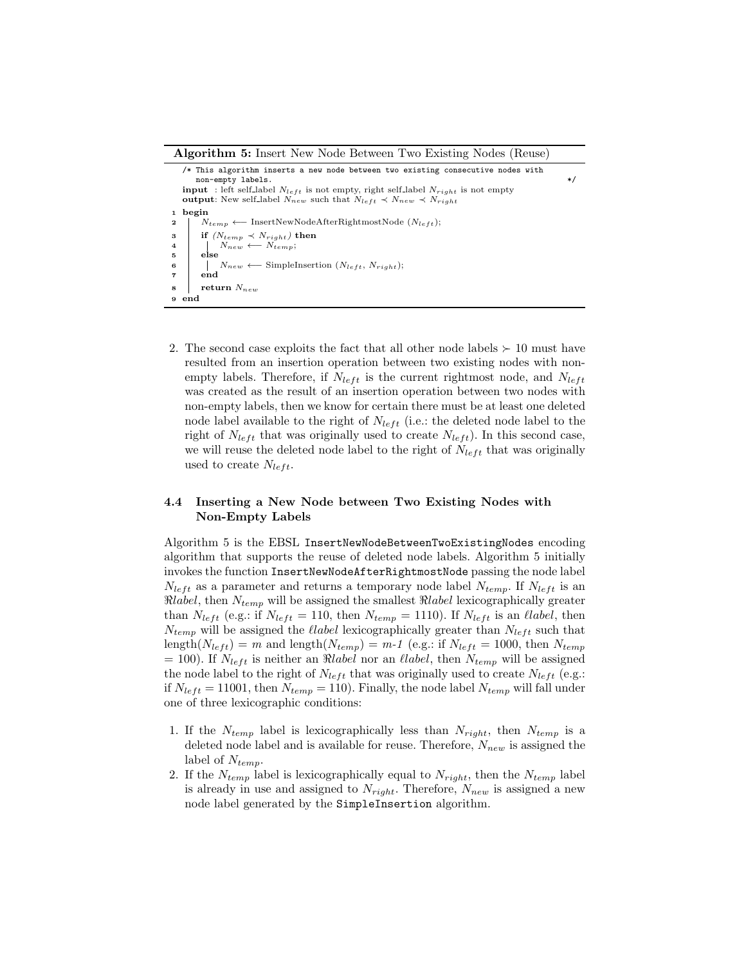Algorithm 5: Insert New Node Between Two Existing Nodes (Reuse)

```
/* This algorithm inserts a new node between two existing consecutive nodes with
     non-empty labels. */input : left self_label N_{left} is not empty, right self_label N_{right} is not empty
  output: New self label N_{new} such that N_{left} \prec N_{new} \prec N_{right}1 begin<br>2 | NN_{temp} \leftarrow InsertNewNodeAfterRightmostNode (N_{left});
\texttt{s} if (N_{temp} \prec N_{right}) then
4 | N_{new} \longleftarrow N_{temp};\frac{4}{5} else
6 | N_{new} \leftarrow SimpleInsertion (N_{left}, N_{right});
7 end
8 return N_{new}9 end
```
2. The second case exploits the fact that all other node labels  $\succ$  10 must have resulted from an insertion operation between two existing nodes with nonempty labels. Therefore, if  $N_{left}$  is the current rightmost node, and  $N_{left}$ was created as the result of an insertion operation between two nodes with non-empty labels, then we know for certain there must be at least one deleted node label available to the right of  $N_{left}$  (i.e.: the deleted node label to the right of  $N_{left}$  that was originally used to create  $N_{left}$ ). In this second case, we will reuse the deleted node label to the right of  $N_{left}$  that was originally used to create  $N_{left}$ .

## 4.4 Inserting a New Node between Two Existing Nodes with Non-Empty Labels

Algorithm 5 is the EBSL InsertNewNodeBetweenTwoExistingNodes encoding algorithm that supports the reuse of deleted node labels. Algorithm 5 initially invokes the function InsertNewNodeAfterRightmostNode passing the node label  $N_{left}$  as a parameter and returns a temporary node label  $N_{temp}$ . If  $N_{left}$  is an Rlabel, then  $N_{temp}$  will be assigned the smallest Rlabel lexicographically greater than  $N_{left}$  (e.g.: if  $N_{left} = 110$ , then  $N_{temp} = 1110$ ). If  $N_{left}$  is an  $\ell label$ , then  $N_{temp}$  will be assigned the *llabel* lexicographically greater than  $N_{left}$  such that length( $N_{left}$ ) = m and length( $N_{temp}$ ) = m-1 (e.g.: if  $N_{left}$  = 1000, then  $N_{temp}$ = 100). If  $N_{left}$  is neither an  $\Re label$  nor an  $\ell label$ , then  $N_{temp}$  will be assigned the node label to the right of  $N_{left}$  that was originally used to create  $N_{left}$  (e.g.: if  $N_{left} = 11001$ , then  $N_{temp} = 110$ . Finally, the node label  $N_{temp}$  will fall under one of three lexicographic conditions:

- 1. If the  $N_{temp}$  label is lexicographically less than  $N_{right}$ , then  $N_{temp}$  is a deleted node label and is available for reuse. Therefore,  $N_{new}$  is assigned the label of  $N_{temp}$ .
- 2. If the  $N_{temp}$  label is lexicographically equal to  $N_{right}$ , then the  $N_{temp}$  label is already in use and assigned to  $N_{right}$ . Therefore,  $N_{new}$  is assigned a new node label generated by the SimpleInsertion algorithm.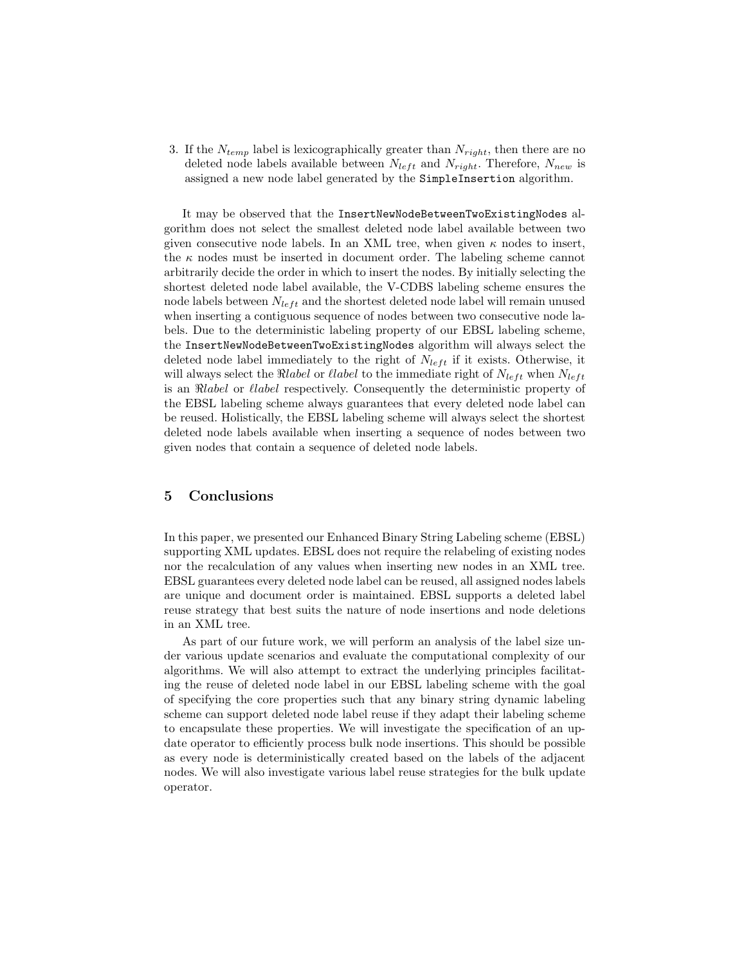3. If the  $N_{temp}$  label is lexicographically greater than  $N_{right}$ , then there are no deleted node labels available between  $N_{left}$  and  $N_{right}$ . Therefore,  $N_{new}$  is assigned a new node label generated by the SimpleInsertion algorithm.

It may be observed that the InsertNewNodeBetweenTwoExistingNodes algorithm does not select the smallest deleted node label available between two given consecutive node labels. In an XML tree, when given  $\kappa$  nodes to insert, the  $\kappa$  nodes must be inserted in document order. The labeling scheme cannot arbitrarily decide the order in which to insert the nodes. By initially selecting the shortest deleted node label available, the V-CDBS labeling scheme ensures the node labels between  $N_{left}$  and the shortest deleted node label will remain unused when inserting a contiguous sequence of nodes between two consecutive node labels. Due to the deterministic labeling property of our EBSL labeling scheme, the InsertNewNodeBetweenTwoExistingNodes algorithm will always select the deleted node label immediately to the right of  $N_{left}$  if it exists. Otherwise, it will always select the  $\Re label$  or  $\ell label$  to the immediate right of  $N_{left}$  when  $N_{left}$ is an Rlabel or llabel respectively. Consequently the deterministic property of the EBSL labeling scheme always guarantees that every deleted node label can be reused. Holistically, the EBSL labeling scheme will always select the shortest deleted node labels available when inserting a sequence of nodes between two given nodes that contain a sequence of deleted node labels.

## 5 Conclusions

In this paper, we presented our Enhanced Binary String Labeling scheme (EBSL) supporting XML updates. EBSL does not require the relabeling of existing nodes nor the recalculation of any values when inserting new nodes in an XML tree. EBSL guarantees every deleted node label can be reused, all assigned nodes labels are unique and document order is maintained. EBSL supports a deleted label reuse strategy that best suits the nature of node insertions and node deletions in an XML tree.

As part of our future work, we will perform an analysis of the label size under various update scenarios and evaluate the computational complexity of our algorithms. We will also attempt to extract the underlying principles facilitating the reuse of deleted node label in our EBSL labeling scheme with the goal of specifying the core properties such that any binary string dynamic labeling scheme can support deleted node label reuse if they adapt their labeling scheme to encapsulate these properties. We will investigate the specification of an update operator to efficiently process bulk node insertions. This should be possible as every node is deterministically created based on the labels of the adjacent nodes. We will also investigate various label reuse strategies for the bulk update operator.